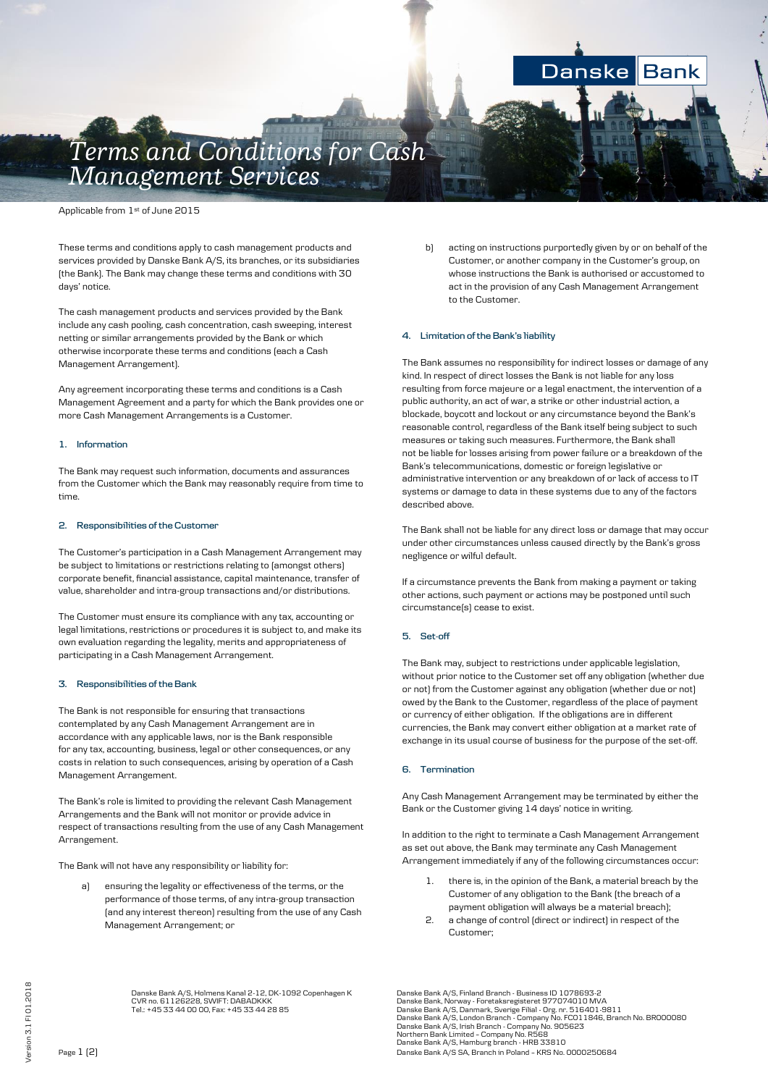# Danske **Bank**

# *Terms and Conditions for Cash Management Services*

Applicable from 1<sup>st</sup> of June 2015

These terms and conditions apply to cash management products and services provided by Danske Bank A/S, its branches, or its subsidiaries (the Bank). The Bank may change these terms and conditions with 30 days' notice.

The cash management products and services provided by the Bank include any cash pooling, cash concentration, cash sweeping, interest netting or similar arrangements provided by the Bank or which otherwise incorporate these terms and conditions (each a Cash Management Arrangement).

Any agreement incorporating these terms and conditions is a Cash Management Agreement and a party for which the Bank provides one or more Cash Management Arrangements is a Customer.

#### **1. Information**

The Bank may request such information, documents and assurances from the Customer which the Bank may reasonably require from time to time.

#### **2. Responsibilities of the Customer**

The Customer's participation in a Cash Management Arrangement may be subject to limitations or restrictions relating to (amongst others) corporate benefit, financial assistance, capital maintenance, transfer of value, shareholder and intra-group transactions and/or distributions.

The Customer must ensure its compliance with any tax, accounting or legal limitations, restrictions or procedures it is subject to, and make its own evaluation regarding the legality, merits and appropriateness of participating in a Cash Management Arrangement.

## **3. Responsibilities of the Bank**

The Bank is not responsible for ensuring that transactions contemplated by any Cash Management Arrangement are in accordance with any applicable laws, nor is the Bank responsible for any tax, accounting, business, legal or other consequences, or any costs in relation to such consequences, arising by operation of a Cash Management Arrangement.

The Bank's role is limited to providing the relevant Cash Management Arrangements and the Bank will not monitor or provide advice in respect of transactions resulting from the use of any Cash Management Arrangement.

The Bank will not have any responsibility or liability for:

ensuring the legality or effectiveness of the terms, or the performance of those terms, of any intra-group transaction (and any interest thereon) resulting from the use of any Cash Management Arrangement; or

b) acting on instructions purportedly given by or on behalf of the Customer, or another company in the Customer's group, on whose instructions the Bank is authorised or accustomed to act in the provision of any Cash Management Arrangement to the Customer.

#### **4. Limitation of the Bank's liability**

The Bank assumes no responsibility for indirect losses or damage of any kind. In respect of direct losses the Bank is not liable for any loss resulting from force majeure or a legal enactment, the intervention of a public authority, an act of war, a strike or other industrial action, a blockade, boycott and lockout or any circumstance beyond the Bank's reasonable control, regardless of the Bank itself being subject to such measures or taking such measures. Furthermore, the Bank shall not be liable for losses arising from power failure or a breakdown of the Bank's telecommunications, domestic or foreign legislative or administrative intervention or any breakdown of or lack of access to IT systems or damage to data in these systems due to any of the factors described above.

The Bank shall not be liable for any direct loss or damage that may occur under other circumstances unless caused directly by the Bank's gross negligence or wilful default.

If a circumstance prevents the Bank from making a payment or taking other actions, such payment or actions may be postponed until such circumstance(s) cease to exist.

### **5. Set-off**

The Bank may, subject to restrictions under applicable legislation, without prior notice to the Customer set off any obligation (whether due or not) from the Customer against any obligation (whether due or not) owed by the Bank to the Customer, regardless of the place of payment or currency of either obligation. If the obligations are in different currencies, the Bank may convert either obligation at a market rate of exchange in its usual course of business for the purpose of the set-off.

#### **6. Termination**

Any Cash Management Arrangement may be terminated by either the Bank or the Customer giving 14 days' notice in writing.

In addition to the right to terminate a Cash Management Arrangement as set out above, the Bank may terminate any Cash Management Arrangement immediately if any of the following circumstances occur:

- 1. there is, in the opinion of the Bank, a material breach by the Customer of any obligation to the Bank (the breach of a payment obligation will always be a material breach);
- 2. a change of control (direct or indirect) in respect of the Customer;

Tel.: +45 33 44 00 00, Fax: +45 33 44 28 85 Danske Bank A/S, Danmark, Sverige Filial - Org. nr. 516401-9811 Danske Bank A/S, London Branch - Company No. FC011846, Branch No. BR000080 Danske Bank A/S, Irish Branch - Company No. 905623 Northern Bank Limited – Company No. R568 Danske Bank A/S, Hamburg branch - HRB 33810 Page 1 (2) Danske Bank A/S SA, Branch in Poland – KRS No. 0000250684

Danske Bank A/S, Holmens Kanal 2-12, DK-1092 Copenhagen K Danske Bank A/S, Finland Branch - Business ID 1078693-2 CVR no. 61126228, SWIFT: DABADKKK Danske Bank, Norway - Foretaksregisteret 977074010 MVA